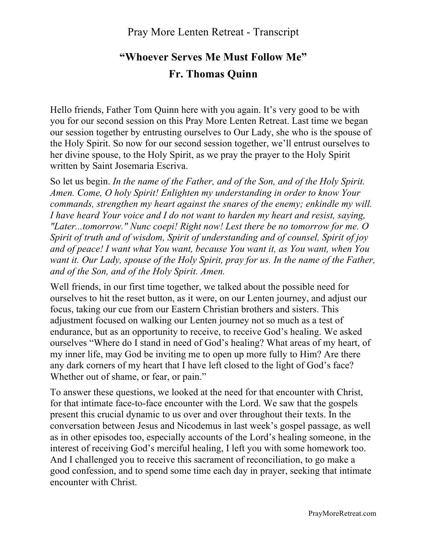# **"Whoever Serves Me Must Follow Me" Fr. Thomas Quinn**

Hello friends, Father Tom Quinn here with you again. It's very good to be with you for our second session on this Pray More Lenten Retreat. Last time we began our session together by entrusting ourselves to Our Lady, she who is the spouse of the Holy Spirit. So now for our second session together, we'll entrust ourselves to her divine spouse, to the Holy Spirit, as we pray the prayer to the Holy Spirit written by Saint Josemaria Escriva.

So let us begin. *In the name of the Father, and of the Son, and of the Holy Spirit. Amen. Come, O holy Spirit! Enlighten my understanding in order to know Your commands, strengthen my heart against the snares of the enemy; enkindle my will. I have heard Your voice and I do not want to harden my heart and resist, saying, "Later...tomorrow." Nunc coepi! Right now! Lest there be no tomorrow for me. O Spirit of truth and of wisdom, Spirit of understanding and of counsel, Spirit of joy and of peace! I want what You want, because You want it, as You want, when You want it. Our Lady, spouse of the Holy Spirit, pray for us. In the name of the Father, and of the Son, and of the Holy Spirit. Amen.*

Well friends, in our first time together, we talked about the possible need for ourselves to hit the reset button, as it were, on our Lenten journey, and adjust our focus, taking our cue from our Eastern Christian brothers and sisters. This adjustment focused on walking our Lenten journey not so much as a test of endurance, but as an opportunity to receive, to receive God's healing. We asked ourselves "Where do I stand in need of God's healing? What areas of my heart, of my inner life, may God be inviting me to open up more fully to Him? Are there any dark corners of my heart that I have left closed to the light of God's face? Whether out of shame, or fear, or pain."

To answer these questions, we looked at the need for that encounter with Christ, for that intimate face-to-face encounter with the Lord. We saw that the gospels present this crucial dynamic to us over and over throughout their texts. In the conversation between Jesus and Nicodemus in last week's gospel passage, as well as in other episodes too, especially accounts of the Lord's healing someone, in the interest of receiving God's merciful healing, I left you with some homework too. And I challenged you to receive this sacrament of reconciliation, to go make a good confession, and to spend some time each day in prayer, seeking that intimate encounter with Christ.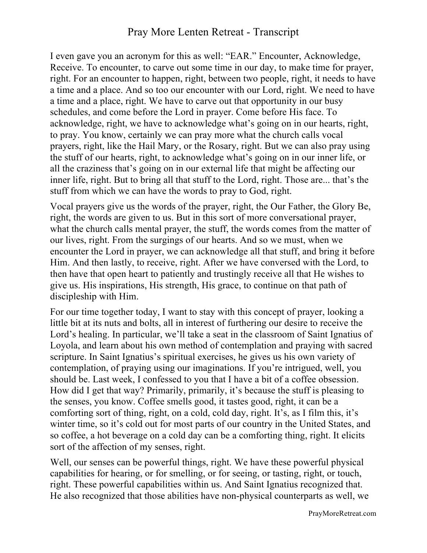I even gave you an acronym for this as well: "EAR." Encounter, Acknowledge, Receive. To encounter, to carve out some time in our day, to make time for prayer, right. For an encounter to happen, right, between two people, right, it needs to have a time and a place. And so too our encounter with our Lord, right. We need to have a time and a place, right. We have to carve out that opportunity in our busy schedules, and come before the Lord in prayer. Come before His face. To acknowledge, right, we have to acknowledge what's going on in our hearts, right, to pray. You know, certainly we can pray more what the church calls vocal prayers, right, like the Hail Mary, or the Rosary, right. But we can also pray using the stuff of our hearts, right, to acknowledge what's going on in our inner life, or all the craziness that's going on in our external life that might be affecting our inner life, right. But to bring all that stuff to the Lord, right. Those are... that's the stuff from which we can have the words to pray to God, right.

Vocal prayers give us the words of the prayer, right, the Our Father, the Glory Be, right, the words are given to us. But in this sort of more conversational prayer, what the church calls mental prayer, the stuff, the words comes from the matter of our lives, right. From the surgings of our hearts. And so we must, when we encounter the Lord in prayer, we can acknowledge all that stuff, and bring it before Him. And then lastly, to receive, right. After we have conversed with the Lord, to then have that open heart to patiently and trustingly receive all that He wishes to give us. His inspirations, His strength, His grace, to continue on that path of discipleship with Him.

For our time together today, I want to stay with this concept of prayer, looking a little bit at its nuts and bolts, all in interest of furthering our desire to receive the Lord's healing. In particular, we'll take a seat in the classroom of Saint Ignatius of Loyola, and learn about his own method of contemplation and praying with sacred scripture. In Saint Ignatius's spiritual exercises, he gives us his own variety of contemplation, of praying using our imaginations. If you're intrigued, well, you should be. Last week, I confessed to you that I have a bit of a coffee obsession. How did I get that way? Primarily, primarily, it's because the stuff is pleasing to the senses, you know. Coffee smells good, it tastes good, right, it can be a comforting sort of thing, right, on a cold, cold day, right. It's, as I film this, it's winter time, so it's cold out for most parts of our country in the United States, and so coffee, a hot beverage on a cold day can be a comforting thing, right. It elicits sort of the affection of my senses, right.

Well, our senses can be powerful things, right. We have these powerful physical capabilities for hearing, or for smelling, or for seeing, or tasting, right, or touch, right. These powerful capabilities within us. And Saint Ignatius recognized that. He also recognized that those abilities have non-physical counterparts as well, we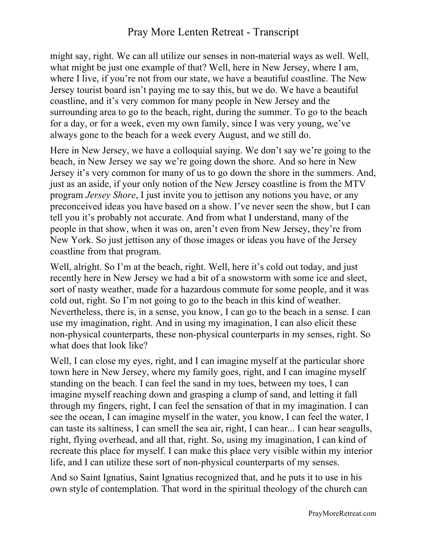might say, right. We can all utilize our senses in non-material ways as well. Well, what might be just one example of that? Well, here in New Jersey, where I am, where I live, if you're not from our state, we have a beautiful coastline. The New Jersey tourist board isn't paying me to say this, but we do. We have a beautiful coastline, and it's very common for many people in New Jersey and the surrounding area to go to the beach, right, during the summer. To go to the beach for a day, or for a week, even my own family, since I was very young, we've always gone to the beach for a week every August, and we still do.

Here in New Jersey, we have a colloquial saying. We don't say we're going to the beach, in New Jersey we say we're going down the shore. And so here in New Jersey it's very common for many of us to go down the shore in the summers. And, just as an aside, if your only notion of the New Jersey coastline is from the MTV program *Jersey Shore*, I just invite you to jettison any notions you have, or any preconceived ideas you have based on a show. I've never seen the show, but I can tell you it's probably not accurate. And from what I understand, many of the people in that show, when it was on, aren't even from New Jersey, they're from New York. So just jettison any of those images or ideas you have of the Jersey coastline from that program.

Well, alright. So I'm at the beach, right. Well, here it's cold out today, and just recently here in New Jersey we had a bit of a snowstorm with some ice and sleet, sort of nasty weather, made for a hazardous commute for some people, and it was cold out, right. So I'm not going to go to the beach in this kind of weather. Nevertheless, there is, in a sense, you know, I can go to the beach in a sense. I can use my imagination, right. And in using my imagination, I can also elicit these non-physical counterparts, these non-physical counterparts in my senses, right. So what does that look like?

Well, I can close my eyes, right, and I can imagine myself at the particular shore town here in New Jersey, where my family goes, right, and I can imagine myself standing on the beach. I can feel the sand in my toes, between my toes, I can imagine myself reaching down and grasping a clump of sand, and letting it fall through my fingers, right, I can feel the sensation of that in my imagination. I can see the ocean, I can imagine myself in the water, you know, I can feel the water, I can taste its saltiness, I can smell the sea air, right, I can hear... I can hear seagulls, right, flying overhead, and all that, right. So, using my imagination, I can kind of recreate this place for myself. I can make this place very visible within my interior life, and I can utilize these sort of non-physical counterparts of my senses.

And so Saint Ignatius, Saint Ignatius recognized that, and he puts it to use in his own style of contemplation. That word in the spiritual theology of the church can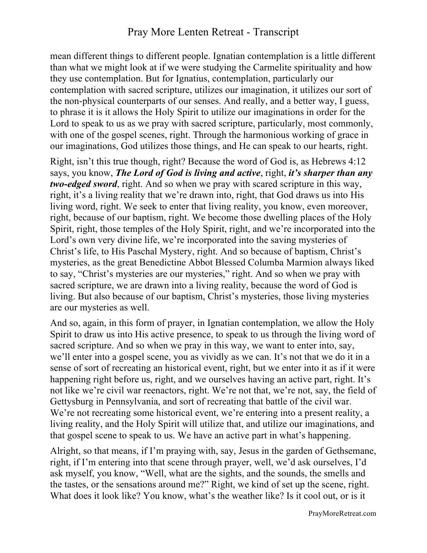mean different things to different people. Ignatian contemplation is a little different than what we might look at if we were studying the Carmelite spirituality and how they use contemplation. But for Ignatius, contemplation, particularly our contemplation with sacred scripture, utilizes our imagination, it utilizes our sort of the non-physical counterparts of our senses. And really, and a better way, I guess, to phrase it is it allows the Holy Spirit to utilize our imaginations in order for the Lord to speak to us as we pray with sacred scripture, particularly, most commonly, with one of the gospel scenes, right. Through the harmonious working of grace in our imaginations, God utilizes those things, and He can speak to our hearts, right.

Right, isn't this true though, right? Because the word of God is, as Hebrews 4:12 says, you know, *The Lord of God is living and active*, right, *it's sharper than any two-edged sword*, right. And so when we pray with scared scripture in this way, right, it's a living reality that we're drawn into, right, that God draws us into His living word, right. We seek to enter that living reality, you know, even moreover, right, because of our baptism, right. We become those dwelling places of the Holy Spirit, right, those temples of the Holy Spirit, right, and we're incorporated into the Lord's own very divine life, we're incorporated into the saving mysteries of Christ's life, to His Paschal Mystery, right. And so because of baptism, Christ's mysteries, as the great Benedictine Abbot Blessed Columba Marmion always liked to say, "Christ's mysteries are our mysteries," right. And so when we pray with sacred scripture, we are drawn into a living reality, because the word of God is living. But also because of our baptism, Christ's mysteries, those living mysteries are our mysteries as well.

And so, again, in this form of prayer, in Ignatian contemplation, we allow the Holy Spirit to draw us into His active presence, to speak to us through the living word of sacred scripture. And so when we pray in this way, we want to enter into, say, we'll enter into a gospel scene, you as vividly as we can. It's not that we do it in a sense of sort of recreating an historical event, right, but we enter into it as if it were happening right before us, right, and we ourselves having an active part, right. It's not like we're civil war reenactors, right. We're not that, we're not, say, the field of Gettysburg in Pennsylvania, and sort of recreating that battle of the civil war. We're not recreating some historical event, we're entering into a present reality, a living reality, and the Holy Spirit will utilize that, and utilize our imaginations, and that gospel scene to speak to us. We have an active part in what's happening.

Alright, so that means, if I'm praying with, say, Jesus in the garden of Gethsemane, right, if I'm entering into that scene through prayer, well, we'd ask ourselves, I'd ask myself, you know, "Well, what are the sights, and the sounds, the smells and the tastes, or the sensations around me?" Right, we kind of set up the scene, right. What does it look like? You know, what's the weather like? Is it cool out, or is it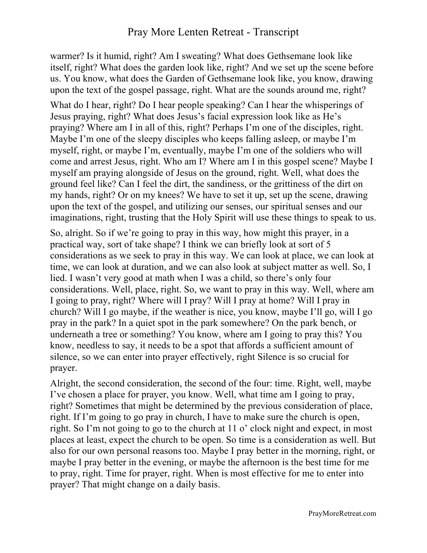warmer? Is it humid, right? Am I sweating? What does Gethsemane look like itself, right? What does the garden look like, right? And we set up the scene before us. You know, what does the Garden of Gethsemane look like, you know, drawing upon the text of the gospel passage, right. What are the sounds around me, right?

What do I hear, right? Do I hear people speaking? Can I hear the whisperings of Jesus praying, right? What does Jesus's facial expression look like as He's praying? Where am I in all of this, right? Perhaps I'm one of the disciples, right. Maybe I'm one of the sleepy disciples who keeps falling asleep, or maybe I'm myself, right, or maybe I'm, eventually, maybe I'm one of the soldiers who will come and arrest Jesus, right. Who am I? Where am I in this gospel scene? Maybe I myself am praying alongside of Jesus on the ground, right. Well, what does the ground feel like? Can I feel the dirt, the sandiness, or the grittiness of the dirt on my hands, right? Or on my knees? We have to set it up, set up the scene, drawing upon the text of the gospel, and utilizing our senses, our spiritual senses and our imaginations, right, trusting that the Holy Spirit will use these things to speak to us.

So, alright. So if we're going to pray in this way, how might this prayer, in a practical way, sort of take shape? I think we can briefly look at sort of 5 considerations as we seek to pray in this way. We can look at place, we can look at time, we can look at duration, and we can also look at subject matter as well. So, I lied. I wasn't very good at math when I was a child, so there's only four considerations. Well, place, right. So, we want to pray in this way. Well, where am I going to pray, right? Where will I pray? Will I pray at home? Will I pray in church? Will I go maybe, if the weather is nice, you know, maybe I'll go, will I go pray in the park? In a quiet spot in the park somewhere? On the park bench, or underneath a tree or something? You know, where am I going to pray this? You know, needless to say, it needs to be a spot that affords a sufficient amount of silence, so we can enter into prayer effectively, right Silence is so crucial for prayer.

Alright, the second consideration, the second of the four: time. Right, well, maybe I've chosen a place for prayer, you know. Well, what time am I going to pray, right? Sometimes that might be determined by the previous consideration of place, right. If I'm going to go pray in church, I have to make sure the church is open, right. So I'm not going to go to the church at 11 o' clock night and expect, in most places at least, expect the church to be open. So time is a consideration as well. But also for our own personal reasons too. Maybe I pray better in the morning, right, or maybe I pray better in the evening, or maybe the afternoon is the best time for me to pray, right. Time for prayer, right. When is most effective for me to enter into prayer? That might change on a daily basis.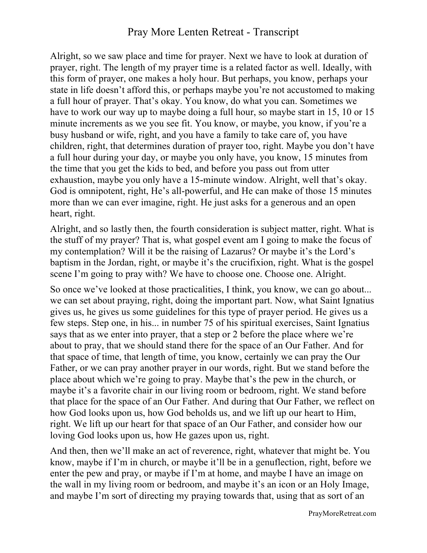Alright, so we saw place and time for prayer. Next we have to look at duration of prayer, right. The length of my prayer time is a related factor as well. Ideally, with this form of prayer, one makes a holy hour. But perhaps, you know, perhaps your state in life doesn't afford this, or perhaps maybe you're not accustomed to making a full hour of prayer. That's okay. You know, do what you can. Sometimes we have to work our way up to maybe doing a full hour, so maybe start in 15, 10 or 15 minute increments as we you see fit. You know, or maybe, you know, if you're a busy husband or wife, right, and you have a family to take care of, you have children, right, that determines duration of prayer too, right. Maybe you don't have a full hour during your day, or maybe you only have, you know, 15 minutes from the time that you get the kids to bed, and before you pass out from utter exhaustion, maybe you only have a 15-minute window. Alright, well that's okay. God is omnipotent, right, He's all-powerful, and He can make of those 15 minutes more than we can ever imagine, right. He just asks for a generous and an open heart, right.

Alright, and so lastly then, the fourth consideration is subject matter, right. What is the stuff of my prayer? That is, what gospel event am I going to make the focus of my contemplation? Will it be the raising of Lazarus? Or maybe it's the Lord's baptism in the Jordan, right, or maybe it's the crucifixion, right. What is the gospel scene I'm going to pray with? We have to choose one. Choose one. Alright.

So once we've looked at those practicalities, I think, you know, we can go about... we can set about praying, right, doing the important part. Now, what Saint Ignatius gives us, he gives us some guidelines for this type of prayer period. He gives us a few steps. Step one, in his... in number 75 of his spiritual exercises, Saint Ignatius says that as we enter into prayer, that a step or 2 before the place where we're about to pray, that we should stand there for the space of an Our Father. And for that space of time, that length of time, you know, certainly we can pray the Our Father, or we can pray another prayer in our words, right. But we stand before the place about which we're going to pray. Maybe that's the pew in the church, or maybe it's a favorite chair in our living room or bedroom, right. We stand before that place for the space of an Our Father. And during that Our Father, we reflect on how God looks upon us, how God beholds us, and we lift up our heart to Him, right. We lift up our heart for that space of an Our Father, and consider how our loving God looks upon us, how He gazes upon us, right.

And then, then we'll make an act of reverence, right, whatever that might be. You know, maybe if I'm in church, or maybe it'll be in a genuflection, right, before we enter the pew and pray, or maybe if I'm at home, and maybe I have an image on the wall in my living room or bedroom, and maybe it's an icon or an Holy Image, and maybe I'm sort of directing my praying towards that, using that as sort of an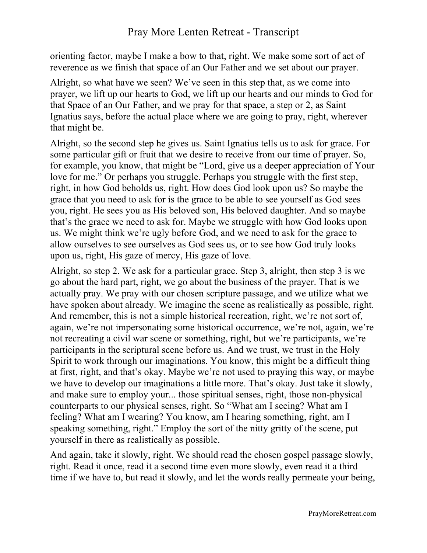orienting factor, maybe I make a bow to that, right. We make some sort of act of reverence as we finish that space of an Our Father and we set about our prayer.

Alright, so what have we seen? We've seen in this step that, as we come into prayer, we lift up our hearts to God, we lift up our hearts and our minds to God for that Space of an Our Father, and we pray for that space, a step or 2, as Saint Ignatius says, before the actual place where we are going to pray, right, wherever that might be.

Alright, so the second step he gives us. Saint Ignatius tells us to ask for grace. For some particular gift or fruit that we desire to receive from our time of prayer. So, for example, you know, that might be "Lord, give us a deeper appreciation of Your love for me." Or perhaps you struggle. Perhaps you struggle with the first step, right, in how God beholds us, right. How does God look upon us? So maybe the grace that you need to ask for is the grace to be able to see yourself as God sees you, right. He sees you as His beloved son, His beloved daughter. And so maybe that's the grace we need to ask for. Maybe we struggle with how God looks upon us. We might think we're ugly before God, and we need to ask for the grace to allow ourselves to see ourselves as God sees us, or to see how God truly looks upon us, right, His gaze of mercy, His gaze of love.

Alright, so step 2. We ask for a particular grace. Step 3, alright, then step 3 is we go about the hard part, right, we go about the business of the prayer. That is we actually pray. We pray with our chosen scripture passage, and we utilize what we have spoken about already. We imagine the scene as realistically as possible, right. And remember, this is not a simple historical recreation, right, we're not sort of, again, we're not impersonating some historical occurrence, we're not, again, we're not recreating a civil war scene or something, right, but we're participants, we're participants in the scriptural scene before us. And we trust, we trust in the Holy Spirit to work through our imaginations. You know, this might be a difficult thing at first, right, and that's okay. Maybe we're not used to praying this way, or maybe we have to develop our imaginations a little more. That's okay. Just take it slowly, and make sure to employ your... those spiritual senses, right, those non-physical counterparts to our physical senses, right. So "What am I seeing? What am I feeling? What am I wearing? You know, am I hearing something, right, am I speaking something, right." Employ the sort of the nitty gritty of the scene, put yourself in there as realistically as possible.

And again, take it slowly, right. We should read the chosen gospel passage slowly, right. Read it once, read it a second time even more slowly, even read it a third time if we have to, but read it slowly, and let the words really permeate your being,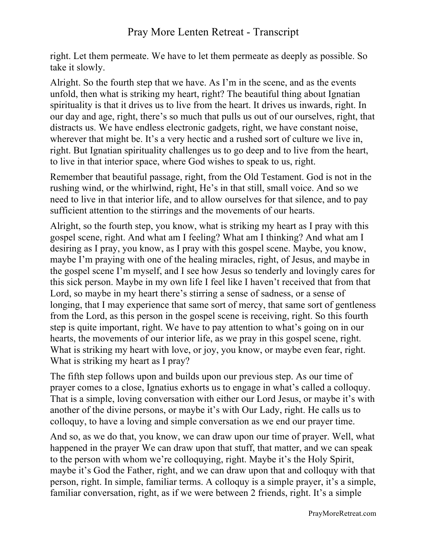right. Let them permeate. We have to let them permeate as deeply as possible. So take it slowly.

Alright. So the fourth step that we have. As I'm in the scene, and as the events unfold, then what is striking my heart, right? The beautiful thing about Ignatian spirituality is that it drives us to live from the heart. It drives us inwards, right. In our day and age, right, there's so much that pulls us out of our ourselves, right, that distracts us. We have endless electronic gadgets, right, we have constant noise, wherever that might be. It's a very hectic and a rushed sort of culture we live in, right. But Ignatian spirituality challenges us to go deep and to live from the heart, to live in that interior space, where God wishes to speak to us, right.

Remember that beautiful passage, right, from the Old Testament. God is not in the rushing wind, or the whirlwind, right, He's in that still, small voice. And so we need to live in that interior life, and to allow ourselves for that silence, and to pay sufficient attention to the stirrings and the movements of our hearts.

Alright, so the fourth step, you know, what is striking my heart as I pray with this gospel scene, right. And what am I feeling? What am I thinking? And what am I desiring as I pray, you know, as I pray with this gospel scene. Maybe, you know, maybe I'm praying with one of the healing miracles, right, of Jesus, and maybe in the gospel scene I'm myself, and I see how Jesus so tenderly and lovingly cares for this sick person. Maybe in my own life I feel like I haven't received that from that Lord, so maybe in my heart there's stirring a sense of sadness, or a sense of longing, that I may experience that same sort of mercy, that same sort of gentleness from the Lord, as this person in the gospel scene is receiving, right. So this fourth step is quite important, right. We have to pay attention to what's going on in our hearts, the movements of our interior life, as we pray in this gospel scene, right. What is striking my heart with love, or joy, you know, or maybe even fear, right. What is striking my heart as I pray?

The fifth step follows upon and builds upon our previous step. As our time of prayer comes to a close, Ignatius exhorts us to engage in what's called a colloquy. That is a simple, loving conversation with either our Lord Jesus, or maybe it's with another of the divine persons, or maybe it's with Our Lady, right. He calls us to colloquy, to have a loving and simple conversation as we end our prayer time.

And so, as we do that, you know, we can draw upon our time of prayer. Well, what happened in the prayer We can draw upon that stuff, that matter, and we can speak to the person with whom we're colloquying, right. Maybe it's the Holy Spirit, maybe it's God the Father, right, and we can draw upon that and colloquy with that person, right. In simple, familiar terms. A colloquy is a simple prayer, it's a simple, familiar conversation, right, as if we were between 2 friends, right. It's a simple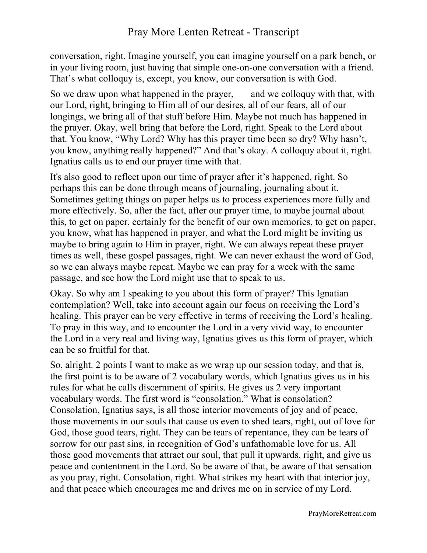conversation, right. Imagine yourself, you can imagine yourself on a park bench, or in your living room, just having that simple one-on-one conversation with a friend. That's what colloquy is, except, you know, our conversation is with God.

So we draw upon what happened in the prayer, and we colloquy with that, with our Lord, right, bringing to Him all of our desires, all of our fears, all of our longings, we bring all of that stuff before Him. Maybe not much has happened in the prayer. Okay, well bring that before the Lord, right. Speak to the Lord about that. You know, "Why Lord? Why has this prayer time been so dry? Why hasn't, you know, anything really happened?" And that's okay. A colloquy about it, right. Ignatius calls us to end our prayer time with that.

It's also good to reflect upon our time of prayer after it's happened, right. So perhaps this can be done through means of journaling, journaling about it. Sometimes getting things on paper helps us to process experiences more fully and more effectively. So, after the fact, after our prayer time, to maybe journal about this, to get on paper, certainly for the benefit of our own memories, to get on paper, you know, what has happened in prayer, and what the Lord might be inviting us maybe to bring again to Him in prayer, right. We can always repeat these prayer times as well, these gospel passages, right. We can never exhaust the word of God, so we can always maybe repeat. Maybe we can pray for a week with the same passage, and see how the Lord might use that to speak to us.

Okay. So why am I speaking to you about this form of prayer? This Ignatian contemplation? Well, take into account again our focus on receiving the Lord's healing. This prayer can be very effective in terms of receiving the Lord's healing. To pray in this way, and to encounter the Lord in a very vivid way, to encounter the Lord in a very real and living way, Ignatius gives us this form of prayer, which can be so fruitful for that.

So, alright. 2 points I want to make as we wrap up our session today, and that is, the first point is to be aware of 2 vocabulary words, which Ignatius gives us in his rules for what he calls discernment of spirits. He gives us 2 very important vocabulary words. The first word is "consolation." What is consolation? Consolation, Ignatius says, is all those interior movements of joy and of peace, those movements in our souls that cause us even to shed tears, right, out of love for God, those good tears, right. They can be tears of repentance, they can be tears of sorrow for our past sins, in recognition of God's unfathomable love for us. All those good movements that attract our soul, that pull it upwards, right, and give us peace and contentment in the Lord. So be aware of that, be aware of that sensation as you pray, right. Consolation, right. What strikes my heart with that interior joy, and that peace which encourages me and drives me on in service of my Lord.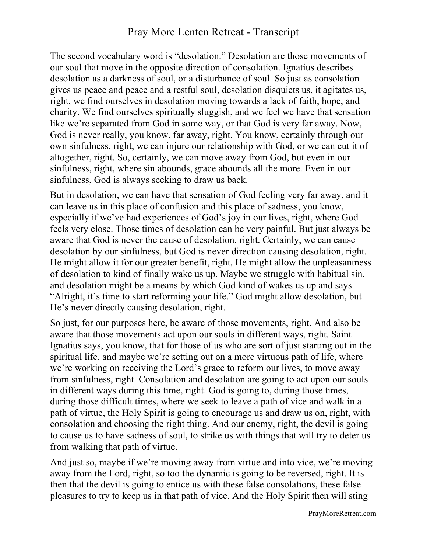The second vocabulary word is "desolation." Desolation are those movements of our soul that move in the opposite direction of consolation. Ignatius describes desolation as a darkness of soul, or a disturbance of soul. So just as consolation gives us peace and peace and a restful soul, desolation disquiets us, it agitates us, right, we find ourselves in desolation moving towards a lack of faith, hope, and charity. We find ourselves spiritually sluggish, and we feel we have that sensation like we're separated from God in some way, or that God is very far away. Now, God is never really, you know, far away, right. You know, certainly through our own sinfulness, right, we can injure our relationship with God, or we can cut it of altogether, right. So, certainly, we can move away from God, but even in our sinfulness, right, where sin abounds, grace abounds all the more. Even in our sinfulness, God is always seeking to draw us back.

But in desolation, we can have that sensation of God feeling very far away, and it can leave us in this place of confusion and this place of sadness, you know, especially if we've had experiences of God's joy in our lives, right, where God feels very close. Those times of desolation can be very painful. But just always be aware that God is never the cause of desolation, right. Certainly, we can cause desolation by our sinfulness, but God is never direction causing desolation, right. He might allow it for our greater benefit, right, He might allow the unpleasantness of desolation to kind of finally wake us up. Maybe we struggle with habitual sin, and desolation might be a means by which God kind of wakes us up and says "Alright, it's time to start reforming your life." God might allow desolation, but He's never directly causing desolation, right.

So just, for our purposes here, be aware of those movements, right. And also be aware that those movements act upon our souls in different ways, right. Saint Ignatius says, you know, that for those of us who are sort of just starting out in the spiritual life, and maybe we're setting out on a more virtuous path of life, where we're working on receiving the Lord's grace to reform our lives, to move away from sinfulness, right. Consolation and desolation are going to act upon our souls in different ways during this time, right. God is going to, during those times, during those difficult times, where we seek to leave a path of vice and walk in a path of virtue, the Holy Spirit is going to encourage us and draw us on, right, with consolation and choosing the right thing. And our enemy, right, the devil is going to cause us to have sadness of soul, to strike us with things that will try to deter us from walking that path of virtue.

And just so, maybe if we're moving away from virtue and into vice, we're moving away from the Lord, right, so too the dynamic is going to be reversed, right. It is then that the devil is going to entice us with these false consolations, these false pleasures to try to keep us in that path of vice. And the Holy Spirit then will sting